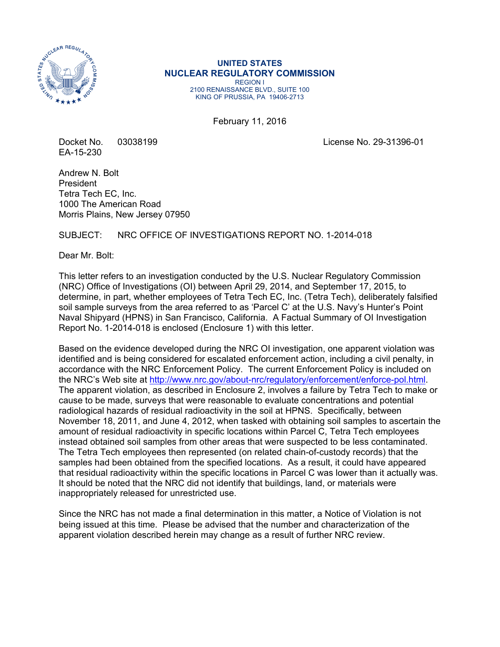

### **UNITED STATES NUCLEAR REGULATORY COMMISSION**  REGION I

2100 RENAISSANCE BLVD., SUITE 100 KING OF PRUSSIA, PA 19406-2713

February 11, 2016

EA-15-230

Docket No. 03038199 License No. 29-31396-01

Andrew N. Bolt President Tetra Tech EC, Inc. 1000 The American Road Morris Plains, New Jersey 07950

# SUBJECT: NRC OFFICE OF INVESTIGATIONS REPORT NO. 1-2014-018

Dear Mr. Bolt:

This letter refers to an investigation conducted by the U.S. Nuclear Regulatory Commission (NRC) Office of Investigations (OI) between April 29, 2014, and September 17, 2015, to determine, in part, whether employees of Tetra Tech EC, Inc. (Tetra Tech), deliberately falsified soil sample surveys from the area referred to as 'Parcel C' at the U.S. Navy's Hunter's Point Naval Shipyard (HPNS) in San Francisco, California. A Factual Summary of OI Investigation Report No. 1-2014-018 is enclosed (Enclosure 1) with this letter.

Based on the evidence developed during the NRC OI investigation, one apparent violation was identified and is being considered for escalated enforcement action, including a civil penalty, in accordance with the NRC Enforcement Policy. The current Enforcement Policy is included on the NRC's Web site at http://www.nrc.gov/about-nrc/regulatory/enforcement/enforce-pol.html. The apparent violation, as described in Enclosure 2, involves a failure by Tetra Tech to make or cause to be made, surveys that were reasonable to evaluate concentrations and potential radiological hazards of residual radioactivity in the soil at HPNS. Specifically, between November 18, 2011, and June 4, 2012, when tasked with obtaining soil samples to ascertain the amount of residual radioactivity in specific locations within Parcel C, Tetra Tech employees instead obtained soil samples from other areas that were suspected to be less contaminated. The Tetra Tech employees then represented (on related chain-of-custody records) that the samples had been obtained from the specified locations. As a result, it could have appeared that residual radioactivity within the specific locations in Parcel C was lower than it actually was. It should be noted that the NRC did not identify that buildings, land, or materials were inappropriately released for unrestricted use.

Since the NRC has not made a final determination in this matter, a Notice of Violation is not being issued at this time. Please be advised that the number and characterization of the apparent violation described herein may change as a result of further NRC review.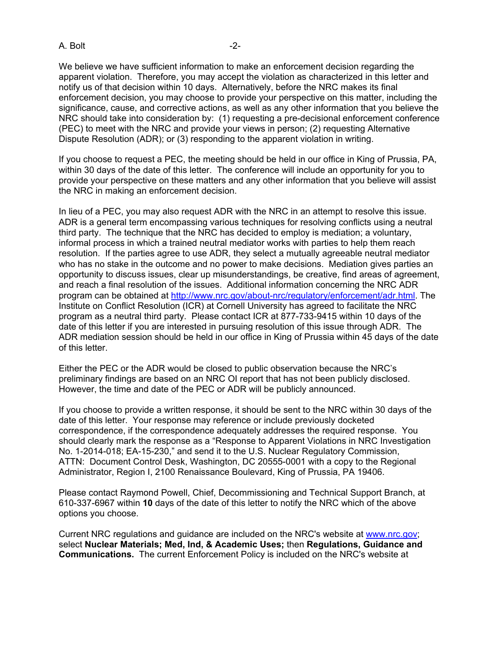A. Bolt -2-

We believe we have sufficient information to make an enforcement decision regarding the apparent violation. Therefore, you may accept the violation as characterized in this letter and notify us of that decision within 10 days. Alternatively, before the NRC makes its final enforcement decision, you may choose to provide your perspective on this matter, including the significance, cause, and corrective actions, as well as any other information that you believe the NRC should take into consideration by: (1) requesting a pre-decisional enforcement conference (PEC) to meet with the NRC and provide your views in person; (2) requesting Alternative Dispute Resolution (ADR); or (3) responding to the apparent violation in writing.

If you choose to request a PEC, the meeting should be held in our office in King of Prussia, PA, within 30 days of the date of this letter. The conference will include an opportunity for you to provide your perspective on these matters and any other information that you believe will assist the NRC in making an enforcement decision.

In lieu of a PEC, you may also request ADR with the NRC in an attempt to resolve this issue. ADR is a general term encompassing various techniques for resolving conflicts using a neutral third party. The technique that the NRC has decided to employ is mediation; a voluntary, informal process in which a trained neutral mediator works with parties to help them reach resolution. If the parties agree to use ADR, they select a mutually agreeable neutral mediator who has no stake in the outcome and no power to make decisions. Mediation gives parties an opportunity to discuss issues, clear up misunderstandings, be creative, find areas of agreement, and reach a final resolution of the issues. Additional information concerning the NRC ADR program can be obtained at http://www.nrc.gov/about-nrc/regulatory/enforcement/adr.html. The Institute on Conflict Resolution (ICR) at Cornell University has agreed to facilitate the NRC program as a neutral third party. Please contact ICR at 877-733-9415 within 10 days of the date of this letter if you are interested in pursuing resolution of this issue through ADR. The ADR mediation session should be held in our office in King of Prussia within 45 days of the date of this letter.

Either the PEC or the ADR would be closed to public observation because the NRC's preliminary findings are based on an NRC OI report that has not been publicly disclosed. However, the time and date of the PEC or ADR will be publicly announced.

If you choose to provide a written response, it should be sent to the NRC within 30 days of the date of this letter. Your response may reference or include previously docketed correspondence, if the correspondence adequately addresses the required response. You should clearly mark the response as a "Response to Apparent Violations in NRC Investigation No. 1-2014-018; EA-15-230," and send it to the U.S. Nuclear Regulatory Commission, ATTN: Document Control Desk, Washington, DC 20555-0001 with a copy to the Regional Administrator, Region I, 2100 Renaissance Boulevard, King of Prussia, PA 19406.

Please contact Raymond Powell, Chief, Decommissioning and Technical Support Branch, at 610-337-6967 within **10** days of the date of this letter to notify the NRC which of the above options you choose.

Current NRC regulations and guidance are included on the NRC's website at www.nrc.gov; select **Nuclear Materials; Med, Ind, & Academic Uses;** then **Regulations, Guidance and Communications.** The current Enforcement Policy is included on the NRC's website at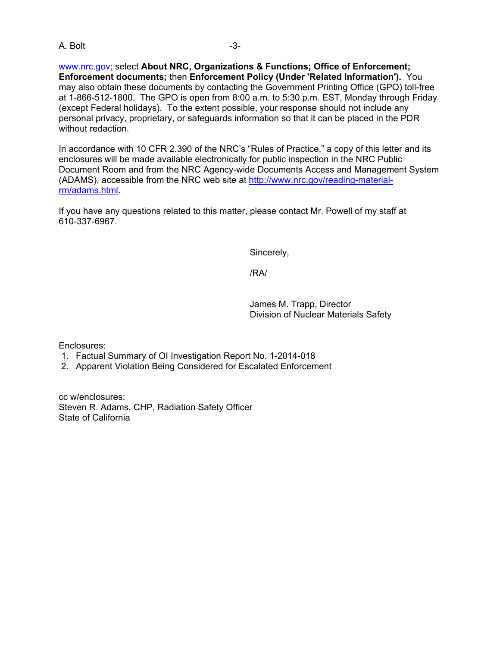A. Bolt -3-

www.nrc.gov; select **About NRC, Organizations & Functions; Office of Enforcement; Enforcement documents;** then **Enforcement Policy (Under 'Related Information').** You may also obtain these documents by contacting the Government Printing Office (GPO) toll-free at 1-866-512-1800. The GPO is open from 8:00 a.m. to 5:30 p.m. EST, Monday through Friday (except Federal holidays). To the extent possible, your response should not include any personal privacy, proprietary, or safeguards information so that it can be placed in the PDR without redaction.

In accordance with 10 CFR 2.390 of the NRC's "Rules of Practice," a copy of this letter and its enclosures will be made available electronically for public inspection in the NRC Public Document Room and from the NRC Agency-wide Documents Access and Management System (ADAMS), accessible from the NRC web site at http://www.nrc.gov/reading-materialrm/adams.html.

If you have any questions related to this matter, please contact Mr. Powell of my staff at 610-337-6967.

Sincerely,

/RA/

James M. Trapp, Director Division of Nuclear Materials Safety

Enclosures:

- 1. Factual Summary of OI Investigation Report No. 1-2014-018
- 2. Apparent Violation Being Considered for Escalated Enforcement

cc w/enclosures: Steven R. Adams, CHP, Radiation Safety Officer State of California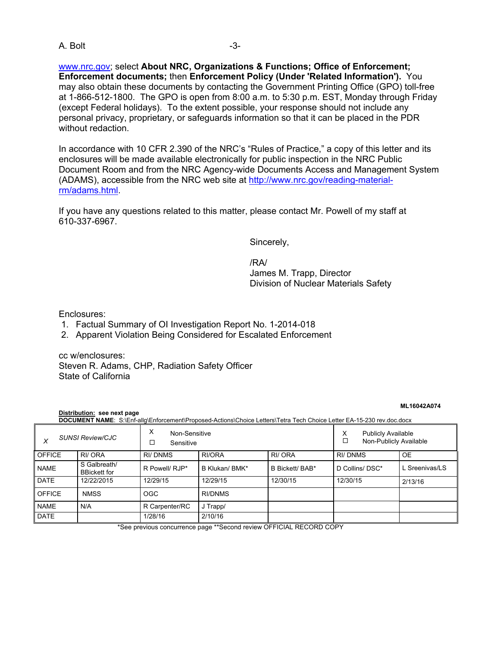A. Bolt -3-

www.nrc.gov; select **About NRC, Organizations & Functions; Office of Enforcement; Enforcement documents;** then **Enforcement Policy (Under 'Related Information').** You may also obtain these documents by contacting the Government Printing Office (GPO) toll-free at 1-866-512-1800. The GPO is open from 8:00 a.m. to 5:30 p.m. EST, Monday through Friday (except Federal holidays). To the extent possible, your response should not include any personal privacy, proprietary, or safeguards information so that it can be placed in the PDR without redaction.

In accordance with 10 CFR 2.390 of the NRC's "Rules of Practice," a copy of this letter and its enclosures will be made available electronically for public inspection in the NRC Public Document Room and from the NRC Agency-wide Documents Access and Management System (ADAMS), accessible from the NRC web site at http://www.nrc.gov/reading-materialrm/adams.html.

If you have any questions related to this matter, please contact Mr. Powell of my staff at 610-337-6967.

Sincerely,

/RA/ James M. Trapp, Director Division of Nuclear Materials Safety

Enclosures:

- 1. Factual Summary of OI Investigation Report No. 1-2014-018
- 2. Apparent Violation Being Considered for Escalated Enforcement

cc w/enclosures: Steven R. Adams, CHP, Radiation Safety Officer State of California

#### **ML16042A074**

**Distribution: see next page DOCUMENT NAME:** S:\Enf-allg\Enforcement\Proposed-Actions\Choice Letters\Tetra Tech Choice Letter EA-15-230 rev.doc.docx

| <b>SUNSI Review/CJC</b> |                                     | X<br>Non-Sensitive<br>□<br>Sensitive |                |                 | <b>Publicly Available</b><br>х<br>Non-Publicly Available |                |
|-------------------------|-------------------------------------|--------------------------------------|----------------|-----------------|----------------------------------------------------------|----------------|
| <b>OFFICE</b>           | RI/ ORA                             | RI/DNMS                              | RI/ORA         | RI/ ORA         | <b>RI/DNMS</b>                                           | <b>OE</b>      |
| <b>NAME</b>             | S Galbreath/<br><b>BBickett for</b> | R Powell/ RJP*                       | B Klukan/ BMK* | B Bickett/ BAB* | D Collins/ DSC*                                          | L Sreenivas/LS |
| <b>DATE</b>             | 12/22/2015                          | 12/29/15                             | 12/29/15       | 12/30/15        | 12/30/15                                                 | 2/13/16        |
| <b>OFFICE</b>           | <b>NMSS</b>                         | <b>OGC</b>                           | RI/DNMS        |                 |                                                          |                |
| <b>NAME</b>             | N/A                                 | R Carpenter/RC                       | J Trapp/       |                 |                                                          |                |
| <b>DATE</b>             |                                     | 1/28/16                              | 2/10/16        |                 |                                                          |                |

\*See previous concurrence page \*\*Second review OFFICIAL RECORD COPY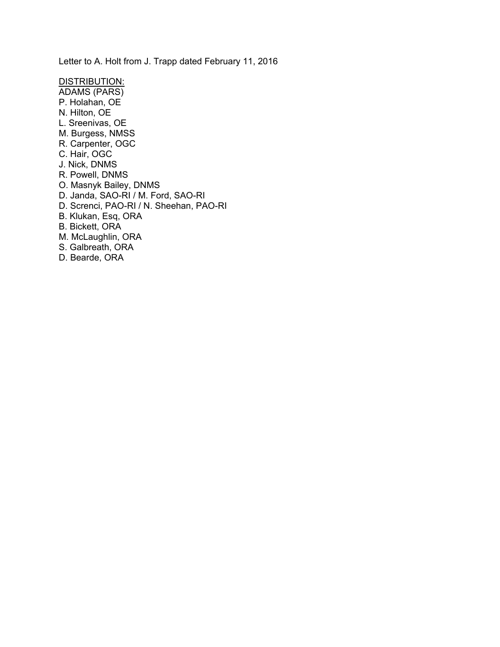Letter to A. Holt from J. Trapp dated February 11, 2016

DISTRIBUTION: ADAMS (PARS) P. Holahan, OE N. Hilton, OE L. Sreenivas, OE M. Burgess, NMSS R. Carpenter, OGC C. Hair, OGC J. Nick, DNMS R. Powell, DNMS O. Masnyk Bailey, DNMS D. Janda, SAO-RI / M. Ford, SAO-RI D. Screnci, PAO-RI / N. Sheehan, PAO-RI B. Klukan, Esq, ORA B. Bickett, ORA M. McLaughlin, ORA S. Galbreath, ORA D. Bearde, ORA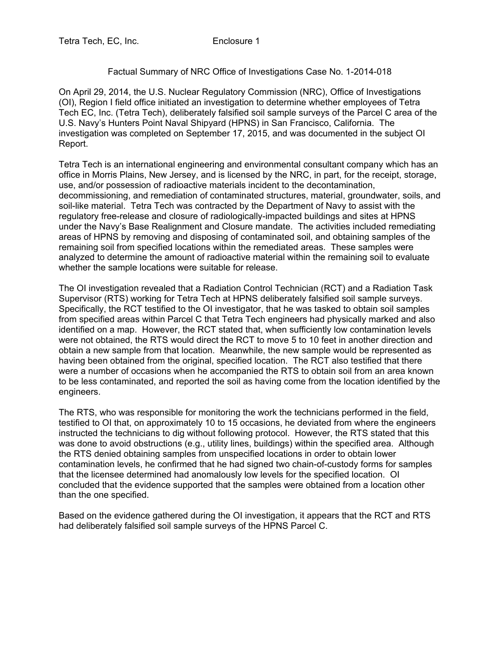## Factual Summary of NRC Office of Investigations Case No. 1-2014-018

On April 29, 2014, the U.S. Nuclear Regulatory Commission (NRC), Office of Investigations (OI), Region I field office initiated an investigation to determine whether employees of Tetra Tech EC, Inc. (Tetra Tech), deliberately falsified soil sample surveys of the Parcel C area of the U.S. Navy's Hunters Point Naval Shipyard (HPNS) in San Francisco, California. The investigation was completed on September 17, 2015, and was documented in the subject OI Report.

Tetra Tech is an international engineering and environmental consultant company which has an office in Morris Plains, New Jersey, and is licensed by the NRC, in part, for the receipt, storage, use, and/or possession of radioactive materials incident to the decontamination, decommissioning, and remediation of contaminated structures, material, groundwater, soils, and soil-like material. Tetra Tech was contracted by the Department of Navy to assist with the regulatory free-release and closure of radiologically-impacted buildings and sites at HPNS under the Navy's Base Realignment and Closure mandate. The activities included remediating areas of HPNS by removing and disposing of contaminated soil, and obtaining samples of the remaining soil from specified locations within the remediated areas. These samples were analyzed to determine the amount of radioactive material within the remaining soil to evaluate whether the sample locations were suitable for release.

The OI investigation revealed that a Radiation Control Technician (RCT) and a Radiation Task Supervisor (RTS) working for Tetra Tech at HPNS deliberately falsified soil sample surveys. Specifically, the RCT testified to the OI investigator, that he was tasked to obtain soil samples from specified areas within Parcel C that Tetra Tech engineers had physically marked and also identified on a map. However, the RCT stated that, when sufficiently low contamination levels were not obtained, the RTS would direct the RCT to move 5 to 10 feet in another direction and obtain a new sample from that location. Meanwhile, the new sample would be represented as having been obtained from the original, specified location. The RCT also testified that there were a number of occasions when he accompanied the RTS to obtain soil from an area known to be less contaminated, and reported the soil as having come from the location identified by the engineers.

The RTS, who was responsible for monitoring the work the technicians performed in the field, testified to OI that, on approximately 10 to 15 occasions, he deviated from where the engineers instructed the technicians to dig without following protocol. However, the RTS stated that this was done to avoid obstructions (e.g., utility lines, buildings) within the specified area. Although the RTS denied obtaining samples from unspecified locations in order to obtain lower contamination levels, he confirmed that he had signed two chain-of-custody forms for samples that the licensee determined had anomalously low levels for the specified location. OI concluded that the evidence supported that the samples were obtained from a location other than the one specified.

Based on the evidence gathered during the OI investigation, it appears that the RCT and RTS had deliberately falsified soil sample surveys of the HPNS Parcel C.